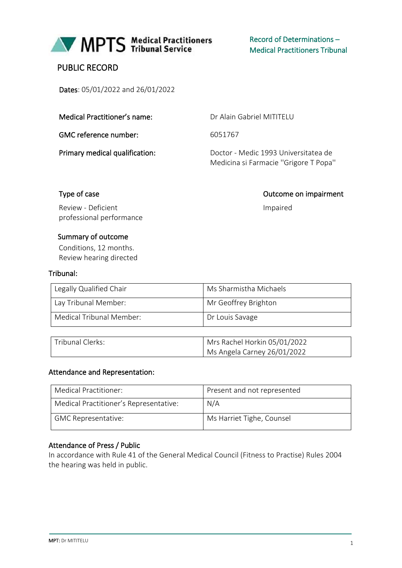

# PUBLIC RECORD

Dates: 05/01/2022 and 26/01/2022

|  | Medical Practitioner's name: |  |
|--|------------------------------|--|
|--|------------------------------|--|

GMC reference number: 6051767

Dr Alain Gabriel MITITELU

Primary medical qualification: Doctor - Medic 1993 Universitatea de Medicina si Farmacie ''Grigore T Popa''

Impaired

Type of case **Outcome on impairment** 

Review - Deficient professional performance

## Summary of outcome

Conditions, 12 months. Review hearing directed

## Tribunal:

| Legally Qualified Chair  | Ms Sharmistha Michaels |
|--------------------------|------------------------|
| Lay Tribunal Member:     | Mr Geoffrey Brighton   |
| Medical Tribunal Member: | Dr Louis Savage        |

| Tribunal Clerks: | Mrs Rachel Horkin 05/01/2022 |
|------------------|------------------------------|
|                  | Ms Angela Carney 26/01/2022  |

## Attendance and Representation:

| Medical Practitioner:                  | Present and not represented |
|----------------------------------------|-----------------------------|
| Medical Practitioner's Representative: | N/A                         |
| <b>GMC Representative:</b>             | Ms Harriet Tighe, Counsel   |

## Attendance of Press / Public

In accordance with Rule 41 of the General Medical Council (Fitness to Practise) Rules 2004 the hearing was held in public.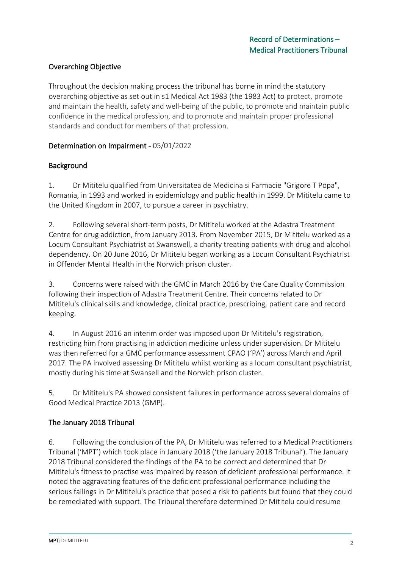# Overarching Objective

Throughout the decision making process the tribunal has borne in mind the statutory overarching objective as set out in s1 Medical Act 1983 (the 1983 Act) to protect, promote and maintain the health, safety and well-being of the public, to promote and maintain public confidence in the medical profession, and to promote and maintain proper professional standards and conduct for members of that profession.

## Determination on Impairment - 05/01/2022

# Background

1. Dr Mititelu qualified from Universitatea de Medicina si Farmacie "Grigore T Popa", Romania, in 1993 and worked in epidemiology and public health in 1999. Dr Mititelu came to the United Kingdom in 2007, to pursue a career in psychiatry.

2. Following several short-term posts, Dr Mititelu worked at the Adastra Treatment Centre for drug addiction, from January 2013. From November 2015, Dr Mititelu worked as a Locum Consultant Psychiatrist at Swanswell, a charity treating patients with drug and alcohol dependency. On 20 June 2016, Dr Mititelu began working as a Locum Consultant Psychiatrist in Offender Mental Health in the Norwich prison cluster.

3. Concerns were raised with the GMC in March 2016 by the Care Quality Commission following their inspection of Adastra Treatment Centre. Their concerns related to Dr Mititelu's clinical skills and knowledge, clinical practice, prescribing, patient care and record keeping.

4. In August 2016 an interim order was imposed upon Dr Mititelu's registration, restricting him from practising in addiction medicine unless under supervision. Dr Mititelu was then referred for a GMC performance assessment CPAO ('PA') across March and April 2017. The PA involved assessing Dr Mititelu whilst working as a locum consultant psychiatrist, mostly during his time at Swansell and the Norwich prison cluster.

5. Dr Mititelu's PA showed consistent failures in performance across several domains of Good Medical Practice 2013 (GMP).

# The January 2018 Tribunal

6. Following the conclusion of the PA, Dr Mititelu was referred to a Medical Practitioners Tribunal ('MPT') which took place in January 2018 ('the January 2018 Tribunal'). The January 2018 Tribunal considered the findings of the PA to be correct and determined that Dr Mititelu's fitness to practise was impaired by reason of deficient professional performance. It noted the aggravating features of the deficient professional performance including the serious failings in Dr Mititelu's practice that posed a risk to patients but found that they could be remediated with support. The Tribunal therefore determined Dr Mititelu could resume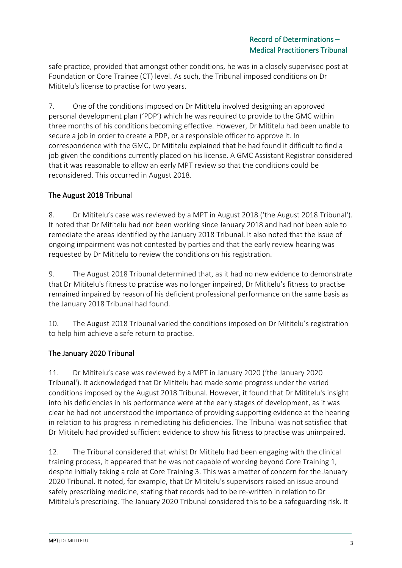safe practice, provided that amongst other conditions, he was in a closely supervised post at Foundation or Core Trainee (CT) level. As such, the Tribunal imposed conditions on Dr Mititelu's license to practise for two years.

7. One of the conditions imposed on Dr Mititelu involved designing an approved personal development plan ('PDP') which he was required to provide to the GMC within three months of his conditions becoming effective. However, Dr Mititelu had been unable to secure a job in order to create a PDP, or a responsible officer to approve it. In correspondence with the GMC, Dr Mititelu explained that he had found it difficult to find a job given the conditions currently placed on his license. A GMC Assistant Registrar considered that it was reasonable to allow an early MPT review so that the conditions could be reconsidered. This occurred in August 2018.

# The August 2018 Tribunal

8. Dr Mititelu's case was reviewed by a MPT in August 2018 ('the August 2018 Tribunal'). It noted that Dr Mititelu had not been working since January 2018 and had not been able to remediate the areas identified by the January 2018 Tribunal. It also noted that the issue of ongoing impairment was not contested by parties and that the early review hearing was requested by Dr Mititelu to review the conditions on his registration.

9. The August 2018 Tribunal determined that, as it had no new evidence to demonstrate that Dr Mititelu's fitness to practise was no longer impaired, Dr Mititelu's fitness to practise remained impaired by reason of his deficient professional performance on the same basis as the January 2018 Tribunal had found.

10. The August 2018 Tribunal varied the conditions imposed on Dr Mititelu's registration to help him achieve a safe return to practise.

# The January 2020 Tribunal

11. Dr Mititelu's case was reviewed by a MPT in January 2020 ('the January 2020 Tribunal'). It acknowledged that Dr Mititelu had made some progress under the varied conditions imposed by the August 2018 Tribunal. However, it found that Dr Mititelu's insight into his deficiencies in his performance were at the early stages of development, as it was clear he had not understood the importance of providing supporting evidence at the hearing in relation to his progress in remediating his deficiencies. The Tribunal was not satisfied that Dr Mititelu had provided sufficient evidence to show his fitness to practise was unimpaired.

12. The Tribunal considered that whilst Dr Mititelu had been engaging with the clinical training process, it appeared that he was not capable of working beyond Core Training 1, despite initially taking a role at Core Training 3. This was a matter of concern for the January 2020 Tribunal. It noted, for example, that Dr Mititelu's supervisors raised an issue around safely prescribing medicine, stating that records had to be re-written in relation to Dr Mititelu's prescribing. The January 2020 Tribunal considered this to be a safeguarding risk. It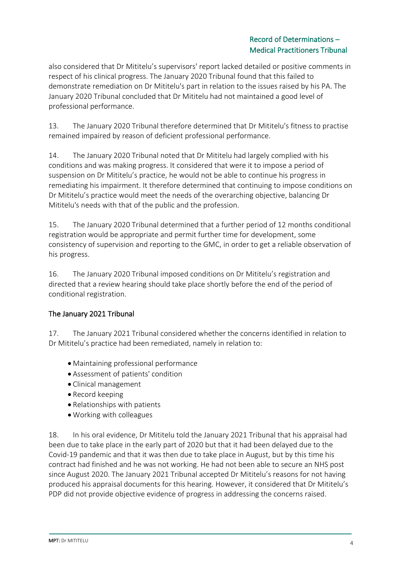also considered that Dr Mititelu's supervisors' report lacked detailed or positive comments in respect of his clinical progress. The January 2020 Tribunal found that this failed to demonstrate remediation on Dr Mititelu's part in relation to the issues raised by his PA. The January 2020 Tribunal concluded that Dr Mititelu had not maintained a good level of professional performance.

13. The January 2020 Tribunal therefore determined that Dr Mititelu's fitness to practise remained impaired by reason of deficient professional performance.

14. The January 2020 Tribunal noted that Dr Mititelu had largely complied with his conditions and was making progress. It considered that were it to impose a period of suspension on Dr Mititelu's practice, he would not be able to continue his progress in remediating his impairment. It therefore determined that continuing to impose conditions on Dr Mititelu's practice would meet the needs of the overarching objective, balancing Dr Mititelu's needs with that of the public and the profession.

15. The January 2020 Tribunal determined that a further period of 12 months conditional registration would be appropriate and permit further time for development, some consistency of supervision and reporting to the GMC, in order to get a reliable observation of his progress.

16. The January 2020 Tribunal imposed conditions on Dr Mititelu's registration and directed that a review hearing should take place shortly before the end of the period of conditional registration.

# The January 2021 Tribunal

17. The January 2021 Tribunal considered whether the concerns identified in relation to Dr Mititelu's practice had been remediated, namely in relation to:

- Maintaining professional performance
- Assessment of patients' condition
- Clinical management
- Record keeping
- Relationships with patients
- Working with colleagues

18. In his oral evidence, Dr Mititelu told the January 2021 Tribunal that his appraisal had been due to take place in the early part of 2020 but that it had been delayed due to the Covid-19 pandemic and that it was then due to take place in August, but by this time his contract had finished and he was not working. He had not been able to secure an NHS post since August 2020. The January 2021 Tribunal accepted Dr Mititelu's reasons for not having produced his appraisal documents for this hearing. However, it considered that Dr Mititelu's PDP did not provide objective evidence of progress in addressing the concerns raised.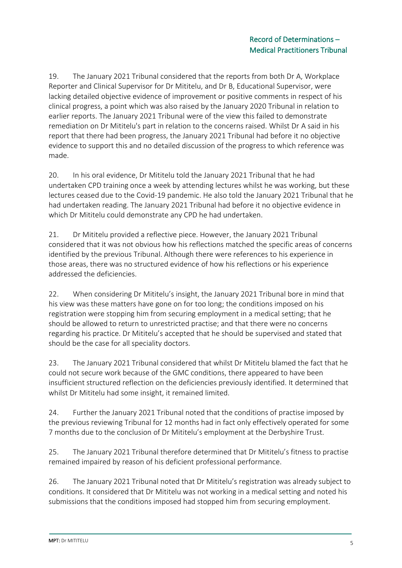19. The January 2021 Tribunal considered that the reports from both Dr A, Workplace Reporter and Clinical Supervisor for Dr Mititelu, and Dr B, Educational Supervisor, were lacking detailed objective evidence of improvement or positive comments in respect of his clinical progress, a point which was also raised by the January 2020 Tribunal in relation to earlier reports. The January 2021 Tribunal were of the view this failed to demonstrate remediation on Dr Mititelu's part in relation to the concerns raised. Whilst Dr A said in his report that there had been progress, the January 2021 Tribunal had before it no objective evidence to support this and no detailed discussion of the progress to which reference was made.

20. In his oral evidence, Dr Mititelu told the January 2021 Tribunal that he had undertaken CPD training once a week by attending lectures whilst he was working, but these lectures ceased due to the Covid-19 pandemic. He also told the January 2021 Tribunal that he had undertaken reading. The January 2021 Tribunal had before it no objective evidence in which Dr Mititelu could demonstrate any CPD he had undertaken.

21. Dr Mititelu provided a reflective piece. However, the January 2021 Tribunal considered that it was not obvious how his reflections matched the specific areas of concerns identified by the previous Tribunal. Although there were references to his experience in those areas, there was no structured evidence of how his reflections or his experience addressed the deficiencies.

22. When considering Dr Mititelu's insight, the January 2021 Tribunal bore in mind that his view was these matters have gone on for too long; the conditions imposed on his registration were stopping him from securing employment in a medical setting; that he should be allowed to return to unrestricted practise; and that there were no concerns regarding his practice. Dr Mititelu's accepted that he should be supervised and stated that should be the case for all speciality doctors.

23. The January 2021 Tribunal considered that whilst Dr Mititelu blamed the fact that he could not secure work because of the GMC conditions, there appeared to have been insufficient structured reflection on the deficiencies previously identified. It determined that whilst Dr Mititelu had some insight, it remained limited.

24. Further the January 2021 Tribunal noted that the conditions of practise imposed by the previous reviewing Tribunal for 12 months had in fact only effectively operated for some 7 months due to the conclusion of Dr Mititelu's employment at the Derbyshire Trust.

25. The January 2021 Tribunal therefore determined that Dr Mititelu's fitness to practise remained impaired by reason of his deficient professional performance.

26. The January 2021 Tribunal noted that Dr Mititelu's registration was already subject to conditions. It considered that Dr Mititelu was not working in a medical setting and noted his submissions that the conditions imposed had stopped him from securing employment.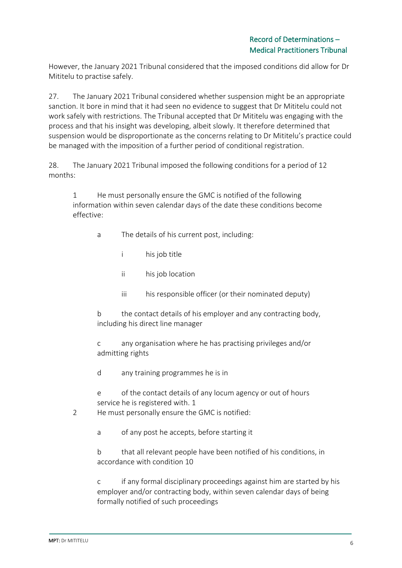However, the January 2021 Tribunal considered that the imposed conditions did allow for Dr Mititelu to practise safely.

27. The January 2021 Tribunal considered whether suspension might be an appropriate sanction. It bore in mind that it had seen no evidence to suggest that Dr Mititelu could not work safely with restrictions. The Tribunal accepted that Dr Mititelu was engaging with the process and that his insight was developing, albeit slowly. It therefore determined that suspension would be disproportionate as the concerns relating to Dr Mititelu's practice could be managed with the imposition of a further period of conditional registration.

28. The January 2021 Tribunal imposed the following conditions for a period of 12 months:

1 He must personally ensure the GMC is notified of the following information within seven calendar days of the date these conditions become effective:

- a The details of his current post, including:
	- i his job title
		- ii his job location
		- iii his responsible officer (or their nominated deputy)
- b the contact details of his employer and any contracting body, including his direct line manager

c any organisation where he has practising privileges and/or admitting rights

- d any training programmes he is in
- e of the contact details of any locum agency or out of hours service he is registered with. 1
- 2 He must personally ensure the GMC is notified:
	- a of any post he accepts, before starting it
	- b that all relevant people have been notified of his conditions, in accordance with condition 10

c if any formal disciplinary proceedings against him are started by his employer and/or contracting body, within seven calendar days of being formally notified of such proceedings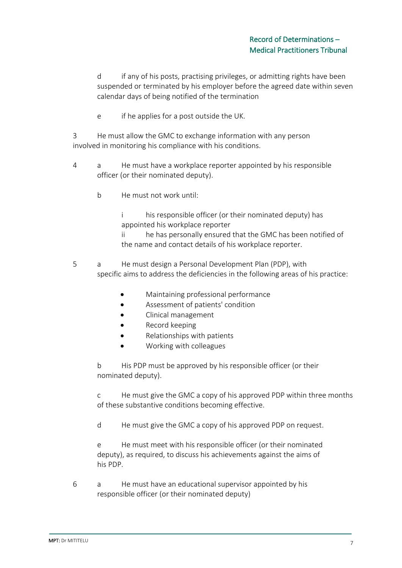d if any of his posts, practising privileges, or admitting rights have been suspended or terminated by his employer before the agreed date within seven calendar days of being notified of the termination

e if he applies for a post outside the UK.

3 He must allow the GMC to exchange information with any person involved in monitoring his compliance with his conditions.

- 4 a He must have a workplace reporter appointed by his responsible officer (or their nominated deputy).
	- b He must not work until:

i his responsible officer (or their nominated deputy) has appointed his workplace reporter

ii he has personally ensured that the GMC has been notified of the name and contact details of his workplace reporter.

- 5 a He must design a Personal Development Plan (PDP), with specific aims to address the deficiencies in the following areas of his practice:
	- Maintaining professional performance
	- Assessment of patients' condition
	- Clinical management
	- Record keeping
	- Relationships with patients
	- Working with colleagues

b His PDP must be approved by his responsible officer (or their nominated deputy).

c He must give the GMC a copy of his approved PDP within three months of these substantive conditions becoming effective.

d He must give the GMC a copy of his approved PDP on request.

e He must meet with his responsible officer (or their nominated deputy), as required, to discuss his achievements against the aims of his PDP.

6 a He must have an educational supervisor appointed by his responsible officer (or their nominated deputy)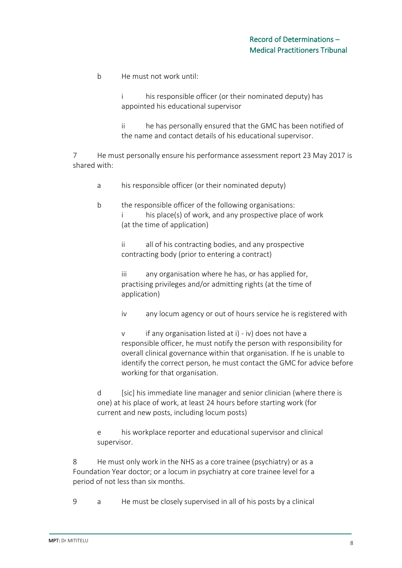b He must not work until:

i his responsible officer (or their nominated deputy) has appointed his educational supervisor

ii he has personally ensured that the GMC has been notified of the name and contact details of his educational supervisor.

7 He must personally ensure his performance assessment report 23 May 2017 is shared with:

a his responsible officer (or their nominated deputy)

b the responsible officer of the following organisations: his place(s) of work, and any prospective place of work (at the time of application)

> ii all of his contracting bodies, and any prospective contracting body (prior to entering a contract)

iii any organisation where he has, or has applied for, practising privileges and/or admitting rights (at the time of application)

iv any locum agency or out of hours service he is registered with

v if any organisation listed at i) - iv) does not have a responsible officer, he must notify the person with responsibility for overall clinical governance within that organisation. If he is unable to identify the correct person, he must contact the GMC for advice before working for that organisation.

d [sic] his immediate line manager and senior clinician (where there is one) at his place of work, at least 24 hours before starting work (for current and new posts, including locum posts)

e his workplace reporter and educational supervisor and clinical supervisor.

8 He must only work in the NHS as a core trainee (psychiatry) or as a Foundation Year doctor; or a locum in psychiatry at core trainee level for a period of not less than six months.

9 a He must be closely supervised in all of his posts by a clinical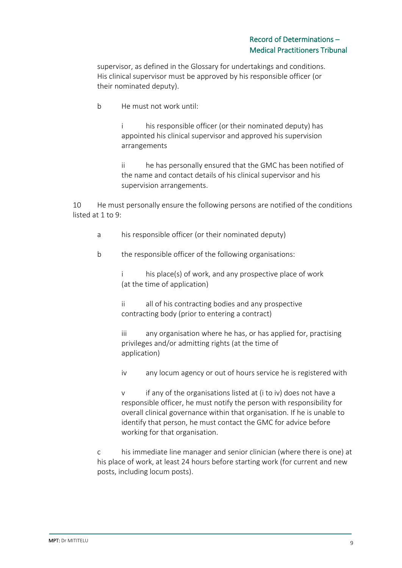supervisor, as defined in the Glossary for undertakings and conditions. His clinical supervisor must be approved by his responsible officer (or their nominated deputy).

b He must not work until:

i his responsible officer (or their nominated deputy) has appointed his clinical supervisor and approved his supervision arrangements

ii he has personally ensured that the GMC has been notified of the name and contact details of his clinical supervisor and his supervision arrangements.

10 He must personally ensure the following persons are notified of the conditions listed at 1 to 9:

a his responsible officer (or their nominated deputy)

b the responsible officer of the following organisations:

i his place(s) of work, and any prospective place of work (at the time of application)

ii all of his contracting bodies and any prospective contracting body (prior to entering a contract)

iii any organisation where he has, or has applied for, practising privileges and/or admitting rights (at the time of application)

iv any locum agency or out of hours service he is registered with

v if any of the organisations listed at (i to iv) does not have a responsible officer, he must notify the person with responsibility for overall clinical governance within that organisation. If he is unable to identify that person, he must contact the GMC for advice before working for that organisation.

c his immediate line manager and senior clinician (where there is one) at his place of work, at least 24 hours before starting work (for current and new posts, including locum posts).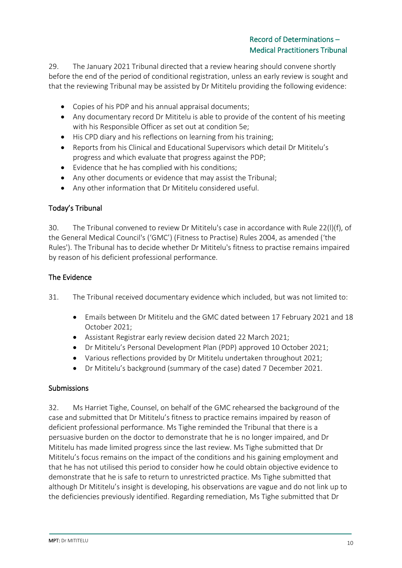29. The January 2021 Tribunal directed that a review hearing should convene shortly before the end of the period of conditional registration, unless an early review is sought and that the reviewing Tribunal may be assisted by Dr Mititelu providing the following evidence:

- Copies of his PDP and his annual appraisal documents;
- Any documentary record Dr Mititelu is able to provide of the content of his meeting with his Responsible Officer as set out at condition 5e;
- His CPD diary and his reflections on learning from his training;
- Reports from his Clinical and Educational Supervisors which detail Dr Mititelu's progress and which evaluate that progress against the PDP;
- Evidence that he has complied with his conditions;
- Any other documents or evidence that may assist the Tribunal;
- Any other information that Dr Mititelu considered useful.

## Today's Tribunal

30. The Tribunal convened to review Dr Mititelu's case in accordance with Rule 22(l)(f), of the General Medical Council's ('GMC') (Fitness to Practise) Rules 2004, as amended ('the Rules'). The Tribunal has to decide whether Dr Mititelu's fitness to practise remains impaired by reason of his deficient professional performance.

## The Evidence

- 31. The Tribunal received documentary evidence which included, but was not limited to:
	- Emails between Dr Mititelu and the GMC dated between 17 February 2021 and 18 October 2021;
	- Assistant Registrar early review decision dated 22 March 2021;
	- Dr Mititelu's Personal Development Plan (PDP) approved 10 October 2021;
	- Various reflections provided by Dr Mititelu undertaken throughout 2021;
	- Dr Mititelu's background (summary of the case) dated 7 December 2021.

## **Submissions**

32. Ms Harriet Tighe, Counsel, on behalf of the GMC rehearsed the background of the case and submitted that Dr Mititelu's fitness to practice remains impaired by reason of deficient professional performance. Ms Tighe reminded the Tribunal that there is a persuasive burden on the doctor to demonstrate that he is no longer impaired, and Dr Mititelu has made limited progress since the last review. Ms Tighe submitted that Dr Mititelu's focus remains on the impact of the conditions and his gaining employment and that he has not utilised this period to consider how he could obtain objective evidence to demonstrate that he is safe to return to unrestricted practice. Ms Tighe submitted that although Dr Mititelu's insight is developing, his observations are vague and do not link up to the deficiencies previously identified. Regarding remediation, Ms Tighe submitted that Dr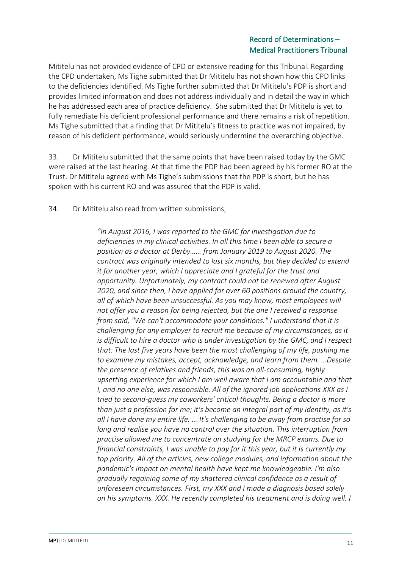Mititelu has not provided evidence of CPD or extensive reading for this Tribunal. Regarding the CPD undertaken, Ms Tighe submitted that Dr Mititelu has not shown how this CPD links to the deficiencies identified. Ms Tighe further submitted that Dr Mititelu's PDP is short and provides limited information and does not address individually and in detail the way in which he has addressed each area of practice deficiency. She submitted that Dr Mititelu is yet to fully remediate his deficient professional performance and there remains a risk of repetition. Ms Tighe submitted that a finding that Dr Mititelu's fitness to practice was not impaired, by reason of his deficient performance, would seriously undermine the overarching objective.

33. Dr Mititelu submitted that the same points that have been raised today by the GMC were raised at the last hearing. At that time the PDP had been agreed by his former RO at the Trust. Dr Mititelu agreed with Ms Tighe's submissions that the PDP is short, but he has spoken with his current RO and was assured that the PDP is valid.

34. Dr Mititelu also read from written submissions,

*"In August 2016, I was reported to the GMC for investigation due to deficiencies in my clinical activities. In all this time I been able to secure a position as a doctor at Derby…… from January 2019 to August 2020. The contract was originally intended to last six months, but they decided to extend it for another year, which I appreciate and I grateful for the trust and opportunity. Unfortunately, my contract could not be renewed after August 2020, and since then, I have applied for over 60 positions around the country, all of which have been unsuccessful. As you may know, most employees will not offer you a reason for being rejected, but the one I received a response from said, "We can't accommodate your conditions." I understand that it is challenging for any employer to recruit me because of my circumstances, as it is difficult to hire a doctor who is under investigation by the GMC, and I respect that. The last five years have been the most challenging of my life, pushing me to examine my mistakes, accept, acknowledge, and learn from them. …Despite the presence of relatives and friends, this was an all-consuming, highly upsetting experience for which I am well aware that I am accountable and that I, and no one else, was responsible. All of the ignored job applications XXX as I tried to second-guess my coworkers' critical thoughts. Being a doctor is more than just a profession for me; it's become an integral part of my identity, as it's all I have done my entire life. … It's challenging to be away from practise for so long and realise you have no control over the situation. This interruption from practise allowed me to concentrate on studying for the MRCP exams. Due to financial constraints, I was unable to pay for it this year, but it is currently my top priority. All of the articles, new college modules, and information about the pandemic's impact on mental health have kept me knowledgeable. I'm also gradually regaining some of my shattered clinical confidence as a result of unforeseen circumstances. First, my XXX and I made a diagnosis based solely on his symptoms. XXX. He recently completed his treatment and is doing well. I*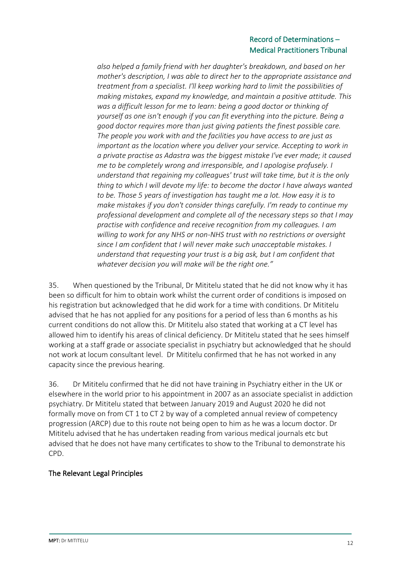*also helped a family friend with her daughter's breakdown, and based on her mother's description, I was able to direct her to the appropriate assistance and treatment from a specialist. I'll keep working hard to limit the possibilities of making mistakes, expand my knowledge, and maintain a positive attitude. This was a difficult lesson for me to learn: being a good doctor or thinking of yourself as one isn't enough if you can fit everything into the picture. Being a good doctor requires more than just giving patients the finest possible care. The people you work with and the facilities you have access to are just as important as the location where you deliver your service. Accepting to work in a private practise as Adastra was the biggest mistake I've ever made; it caused me to be completely wrong and irresponsible, and I apologise profusely. I understand that regaining my colleagues' trust will take time, but it is the only thing to which I will devote my life: to become the doctor I have always wanted to be. Those 5 years of investigation has taught me a lot. How easy it is to make mistakes if you don't consider things carefully. I'm ready to continue my professional development and complete all of the necessary steps so that I may practise with confidence and receive recognition from my colleagues. I am willing to work for any NHS or non-NHS trust with no restrictions or oversight since I am confident that I will never make such unacceptable mistakes. I understand that requesting your trust is a big ask, but I am confident that whatever decision you will make will be the right one."*

35. When questioned by the Tribunal, Dr Mititelu stated that he did not know why it has been so difficult for him to obtain work whilst the current order of conditions is imposed on his registration but acknowledged that he did work for a time with conditions. Dr Mititelu advised that he has not applied for any positions for a period of less than 6 months as his current conditions do not allow this. Dr Mititelu also stated that working at a CT level has allowed him to identify his areas of clinical deficiency. Dr Mititelu stated that he sees himself working at a staff grade or associate specialist in psychiatry but acknowledged that he should not work at locum consultant level. Dr Mititelu confirmed that he has not worked in any capacity since the previous hearing.

36. Dr Mititelu confirmed that he did not have training in Psychiatry either in the UK or elsewhere in the world prior to his appointment in 2007 as an associate specialist in addiction psychiatry. Dr Mititelu stated that between January 2019 and August 2020 he did not formally move on from CT 1 to CT 2 by way of a completed annual review of competency progression (ARCP) due to this route not being open to him as he was a locum doctor. Dr Mititelu advised that he has undertaken reading from various medical journals etc but advised that he does not have many certificates to show to the Tribunal to demonstrate his CPD.

# The Relevant Legal Principles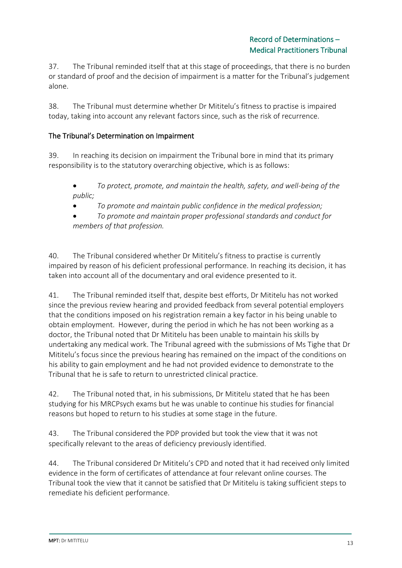37. The Tribunal reminded itself that at this stage of proceedings, that there is no burden or standard of proof and the decision of impairment is a matter for the Tribunal's judgement alone.

38. The Tribunal must determine whether Dr Mititelu's fitness to practise is impaired today, taking into account any relevant factors since, such as the risk of recurrence.

## The Tribunal's Determination on Impairment

39. In reaching its decision on impairment the Tribunal bore in mind that its primary responsibility is to the statutory overarching objective, which is as follows:

• *To protect, promote, and maintain the health, safety, and well-being of the public;* 

• *To promote and maintain public confidence in the medical profession;* 

• *To promote and maintain proper professional standards and conduct for members of that profession.*

40. The Tribunal considered whether Dr Mititelu's fitness to practise is currently impaired by reason of his deficient professional performance. In reaching its decision, it has taken into account all of the documentary and oral evidence presented to it.

41. The Tribunal reminded itself that, despite best efforts, Dr Mititelu has not worked since the previous review hearing and provided feedback from several potential employers that the conditions imposed on his registration remain a key factor in his being unable to obtain employment. However, during the period in which he has not been working as a doctor, the Tribunal noted that Dr Mititelu has been unable to maintain his skills by undertaking any medical work. The Tribunal agreed with the submissions of Ms Tighe that Dr Mititelu's focus since the previous hearing has remained on the impact of the conditions on his ability to gain employment and he had not provided evidence to demonstrate to the Tribunal that he is safe to return to unrestricted clinical practice.

42. The Tribunal noted that, in his submissions, Dr Mititelu stated that he has been studying for his MRCPsych exams but he was unable to continue his studies for financial reasons but hoped to return to his studies at some stage in the future.

43. The Tribunal considered the PDP provided but took the view that it was not specifically relevant to the areas of deficiency previously identified.

44. The Tribunal considered Dr Mititelu's CPD and noted that it had received only limited evidence in the form of certificates of attendance at four relevant online courses. The Tribunal took the view that it cannot be satisfied that Dr Mititelu is taking sufficient steps to remediate his deficient performance.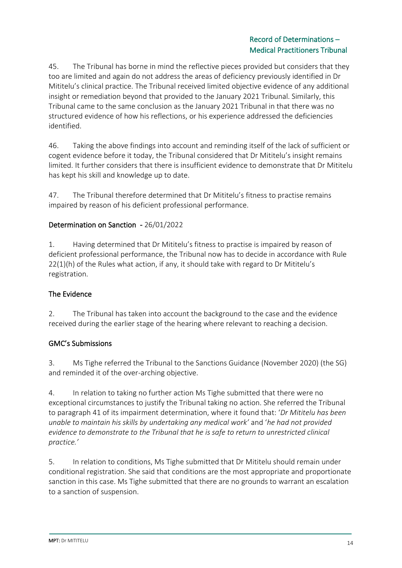45. The Tribunal has borne in mind the reflective pieces provided but considers that they too are limited and again do not address the areas of deficiency previously identified in Dr Mititelu's clinical practice. The Tribunal received limited objective evidence of any additional insight or remediation beyond that provided to the January 2021 Tribunal. Similarly, this Tribunal came to the same conclusion as the January 2021 Tribunal in that there was no structured evidence of how his reflections, or his experience addressed the deficiencies identified.

46. Taking the above findings into account and reminding itself of the lack of sufficient or cogent evidence before it today, the Tribunal considered that Dr Mititelu's insight remains limited. It further considers that there is insufficient evidence to demonstrate that Dr Mititelu has kept his skill and knowledge up to date.

47. The Tribunal therefore determined that Dr Mititelu's fitness to practise remains impaired by reason of his deficient professional performance.

## Determination on Sanction - 26/01/2022

1. Having determined that Dr Mititelu's fitness to practise is impaired by reason of deficient professional performance, the Tribunal now has to decide in accordance with Rule 22(1)(h) of the Rules what action, if any, it should take with regard to Dr Mititelu's registration.

## The Evidence

2. The Tribunal has taken into account the background to the case and the evidence received during the earlier stage of the hearing where relevant to reaching a decision.

## GMC's Submissions

3. Ms Tighe referred the Tribunal to the Sanctions Guidance (November 2020) (the SG) and reminded it of the over-arching objective.

4. In relation to taking no further action Ms Tighe submitted that there were no exceptional circumstances to justify the Tribunal taking no action. She referred the Tribunal to paragraph 41 of its impairment determination, where it found that: '*Dr Mititelu has been unable to maintain his skills by undertaking any medical work'* and '*he had not provided evidence to demonstrate to the Tribunal that he is safe to return to unrestricted clinical practice.'*

5. In relation to conditions, Ms Tighe submitted that Dr Mititelu should remain under conditional registration. She said that conditions are the most appropriate and proportionate sanction in this case. Ms Tighe submitted that there are no grounds to warrant an escalation to a sanction of suspension.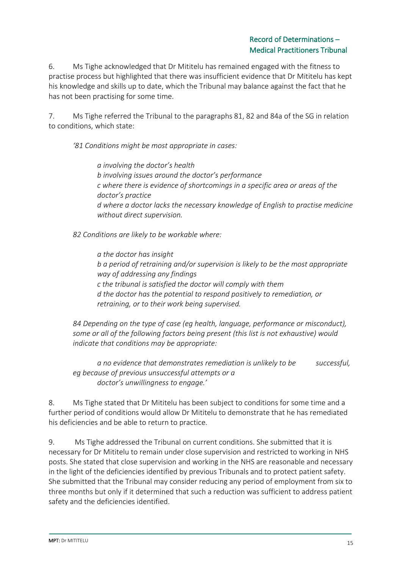6. Ms Tighe acknowledged that Dr Mititelu has remained engaged with the fitness to practise process but highlighted that there was insufficient evidence that Dr Mititelu has kept his knowledge and skills up to date, which the Tribunal may balance against the fact that he has not been practising for some time.

7. Ms Tighe referred the Tribunal to the paragraphs 81, 82 and 84a of the SG in relation to conditions, which state:

*'81 Conditions might be most appropriate in cases:*

*a involving the doctor's health b involving issues around the doctor's performance c where there is evidence of shortcomings in a specific area or areas of the doctor's practice d where a doctor lacks the necessary knowledge of English to practise medicine without direct supervision.*

*82 Conditions are likely to be workable where:*

*a the doctor has insight b a period of retraining and/or supervision is likely to be the most appropriate way of addressing any findings c the tribunal is satisfied the doctor will comply with them d the doctor has the potential to respond positively to remediation, or retraining, or to their work being supervised.*

*84 Depending on the type of case (eg health, language, performance or misconduct), some or all of the following factors being present (this list is not exhaustive) would indicate that conditions may be appropriate:*

*a no evidence that demonstrates remediation is unlikely to be successful, eg because of previous unsuccessful attempts or a doctor's unwillingness to engage.'*

8. Ms Tighe stated that Dr Mititelu has been subject to conditions for some time and a further period of conditions would allow Dr Mititelu to demonstrate that he has remediated his deficiencies and be able to return to practice.

9. Ms Tighe addressed the Tribunal on current conditions. She submitted that it is necessary for Dr Mititelu to remain under close supervision and restricted to working in NHS posts. She stated that close supervision and working in the NHS are reasonable and necessary in the light of the deficiencies identified by previous Tribunals and to protect patient safety. She submitted that the Tribunal may consider reducing any period of employment from six to three months but only if it determined that such a reduction was sufficient to address patient safety and the deficiencies identified.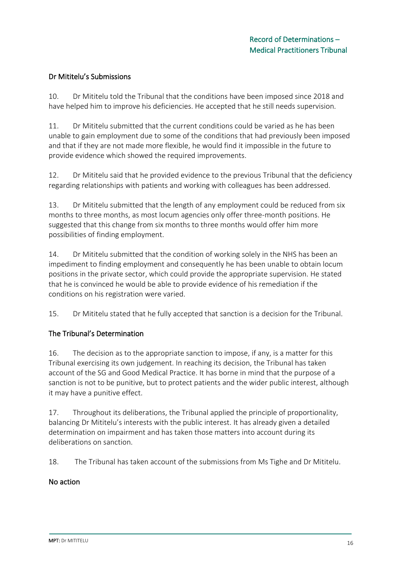## Dr Mititelu's Submissions

10. Dr Mititelu told the Tribunal that the conditions have been imposed since 2018 and have helped him to improve his deficiencies. He accepted that he still needs supervision.

11. Dr Mititelu submitted that the current conditions could be varied as he has been unable to gain employment due to some of the conditions that had previously been imposed and that if they are not made more flexible, he would find it impossible in the future to provide evidence which showed the required improvements.

12. Dr Mititelu said that he provided evidence to the previous Tribunal that the deficiency regarding relationships with patients and working with colleagues has been addressed.

13. Dr Mititelu submitted that the length of any employment could be reduced from six months to three months, as most locum agencies only offer three-month positions. He suggested that this change from six months to three months would offer him more possibilities of finding employment.

14. Dr Mititelu submitted that the condition of working solely in the NHS has been an impediment to finding employment and consequently he has been unable to obtain locum positions in the private sector, which could provide the appropriate supervision. He stated that he is convinced he would be able to provide evidence of his remediation if the conditions on his registration were varied.

15. Dr Mititelu stated that he fully accepted that sanction is a decision for the Tribunal.

# The Tribunal's Determination

16. The decision as to the appropriate sanction to impose, if any, is a matter for this Tribunal exercising its own judgement. In reaching its decision, the Tribunal has taken account of the SG and Good Medical Practice. It has borne in mind that the purpose of a sanction is not to be punitive, but to protect patients and the wider public interest, although it may have a punitive effect.

17. Throughout its deliberations, the Tribunal applied the principle of proportionality, balancing Dr Mititelu's interests with the public interest. It has already given a detailed determination on impairment and has taken those matters into account during its deliberations on sanction.

18. The Tribunal has taken account of the submissions from Ms Tighe and Dr Mititelu.

## No action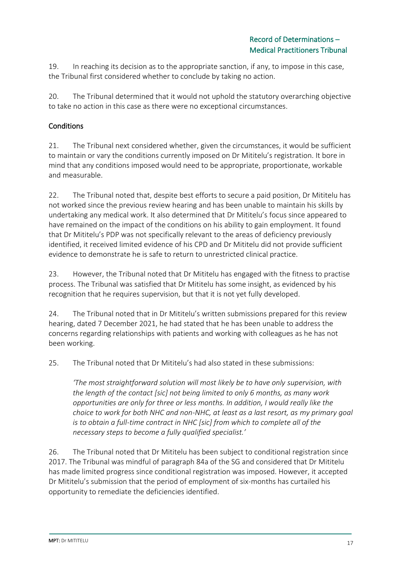19. In reaching its decision as to the appropriate sanction, if any, to impose in this case, the Tribunal first considered whether to conclude by taking no action.

20. The Tribunal determined that it would not uphold the statutory overarching objective to take no action in this case as there were no exceptional circumstances.

# **Conditions**

21. The Tribunal next considered whether, given the circumstances, it would be sufficient to maintain or vary the conditions currently imposed on Dr Mititelu's registration. It bore in mind that any conditions imposed would need to be appropriate, proportionate, workable and measurable.

22. The Tribunal noted that, despite best efforts to secure a paid position, Dr Mititelu has not worked since the previous review hearing and has been unable to maintain his skills by undertaking any medical work. It also determined that Dr Mititelu's focus since appeared to have remained on the impact of the conditions on his ability to gain employment. It found that Dr Mititelu's PDP was not specifically relevant to the areas of deficiency previously identified, it received limited evidence of his CPD and Dr Mititelu did not provide sufficient evidence to demonstrate he is safe to return to unrestricted clinical practice.

23. However, the Tribunal noted that Dr Mititelu has engaged with the fitness to practise process. The Tribunal was satisfied that Dr Mititelu has some insight, as evidenced by his recognition that he requires supervision, but that it is not yet fully developed.

24. The Tribunal noted that in Dr Mititelu's written submissions prepared for this review hearing, dated 7 December 2021, he had stated that he has been unable to address the concerns regarding relationships with patients and working with colleagues as he has not been working.

25. The Tribunal noted that Dr Mititelu's had also stated in these submissions:

*'The most straightforward solution will most likely be to have only supervision, with the length of the contact [sic] not being limited to only 6 months, as many work opportunities are only for three or less months. In addition, I would really like the choice to work for both NHC and non-NHC, at least as a last resort, as my primary goal is to obtain a full-time contract in NHC [sic] from which to complete all of the necessary steps to become a fully qualified specialist.'*

26. The Tribunal noted that Dr Mititelu has been subject to conditional registration since 2017. The Tribunal was mindful of paragraph 84a of the SG and considered that Dr Mititelu has made limited progress since conditional registration was imposed. However, it accepted Dr Mititelu's submission that the period of employment of six-months has curtailed his opportunity to remediate the deficiencies identified.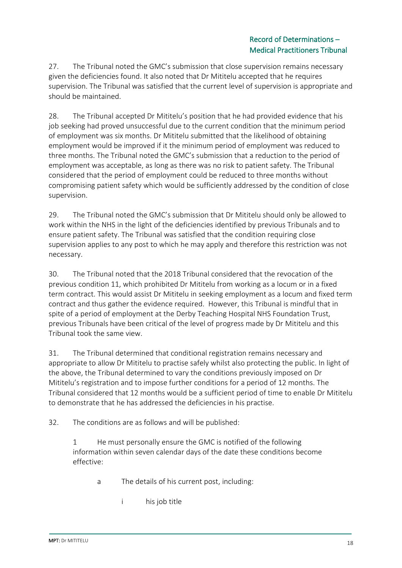27. The Tribunal noted the GMC's submission that close supervision remains necessary given the deficiencies found. It also noted that Dr Mititelu accepted that he requires supervision. The Tribunal was satisfied that the current level of supervision is appropriate and should be maintained.

28. The Tribunal accepted Dr Mititelu's position that he had provided evidence that his job seeking had proved unsuccessful due to the current condition that the minimum period of employment was six months. Dr Mititelu submitted that the likelihood of obtaining employment would be improved if it the minimum period of employment was reduced to three months. The Tribunal noted the GMC's submission that a reduction to the period of employment was acceptable, as long as there was no risk to patient safety. The Tribunal considered that the period of employment could be reduced to three months without compromising patient safety which would be sufficiently addressed by the condition of close supervision.

29. The Tribunal noted the GMC's submission that Dr Mititelu should only be allowed to work within the NHS in the light of the deficiencies identified by previous Tribunals and to ensure patient safety. The Tribunal was satisfied that the condition requiring close supervision applies to any post to which he may apply and therefore this restriction was not necessary.

30. The Tribunal noted that the 2018 Tribunal considered that the revocation of the previous condition 11, which prohibited Dr Mititelu from working as a locum or in a fixed term contract. This would assist Dr Mititelu in seeking employment as a locum and fixed term contract and thus gather the evidence required. However, this Tribunal is mindful that in spite of a period of employment at the Derby Teaching Hospital NHS Foundation Trust, previous Tribunals have been critical of the level of progress made by Dr Mititelu and this Tribunal took the same view.

31. The Tribunal determined that conditional registration remains necessary and appropriate to allow Dr Mititelu to practise safely whilst also protecting the public. In light of the above, the Tribunal determined to vary the conditions previously imposed on Dr Mititelu's registration and to impose further conditions for a period of 12 months. The Tribunal considered that 12 months would be a sufficient period of time to enable Dr Mititelu to demonstrate that he has addressed the deficiencies in his practise.

32. The conditions are as follows and will be published:

1 He must personally ensure the GMC is notified of the following information within seven calendar days of the date these conditions become effective:

- a The details of his current post, including:
	- i his job title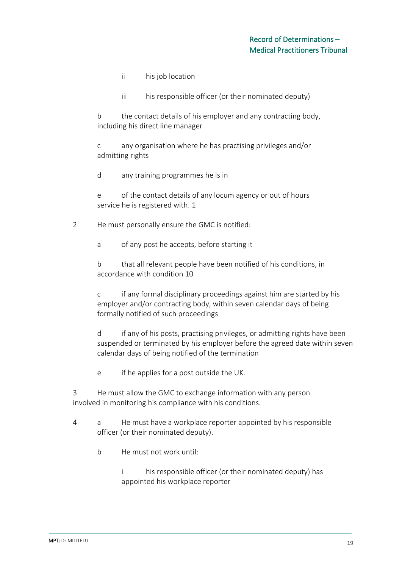- ii his job location
- iii his responsible officer (or their nominated deputy)

b the contact details of his employer and any contracting body, including his direct line manager

c any organisation where he has practising privileges and/or admitting rights

d any training programmes he is in

e of the contact details of any locum agency or out of hours service he is registered with. 1

2 He must personally ensure the GMC is notified:

a of any post he accepts, before starting it

b that all relevant people have been notified of his conditions, in accordance with condition 10

c if any formal disciplinary proceedings against him are started by his employer and/or contracting body, within seven calendar days of being formally notified of such proceedings

d if any of his posts, practising privileges, or admitting rights have been suspended or terminated by his employer before the agreed date within seven calendar days of being notified of the termination

e if he applies for a post outside the UK.

3 He must allow the GMC to exchange information with any person involved in monitoring his compliance with his conditions.

- 4 a He must have a workplace reporter appointed by his responsible officer (or their nominated deputy).
	- b He must not work until:

i his responsible officer (or their nominated deputy) has appointed his workplace reporter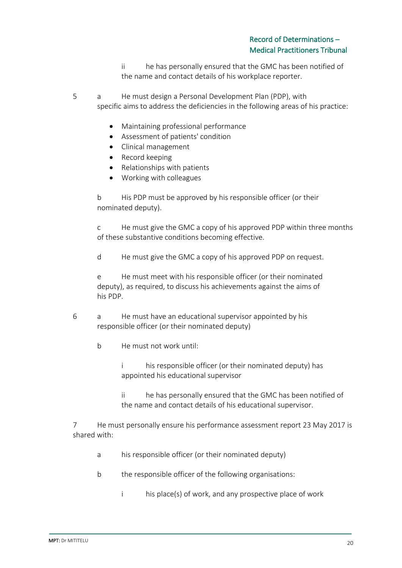ii he has personally ensured that the GMC has been notified of the name and contact details of his workplace reporter.

5 a He must design a Personal Development Plan (PDP), with specific aims to address the deficiencies in the following areas of his practice:

- Maintaining professional performance
- Assessment of patients' condition
- Clinical management
- Record keeping
- Relationships with patients
- Working with colleagues

b His PDP must be approved by his responsible officer (or their nominated deputy).

c He must give the GMC a copy of his approved PDP within three months of these substantive conditions becoming effective.

d He must give the GMC a copy of his approved PDP on request.

e He must meet with his responsible officer (or their nominated deputy), as required, to discuss his achievements against the aims of his PDP.

- 6 a He must have an educational supervisor appointed by his responsible officer (or their nominated deputy)
	- b He must not work until:

i his responsible officer (or their nominated deputy) has appointed his educational supervisor

ii he has personally ensured that the GMC has been notified of the name and contact details of his educational supervisor.

7 He must personally ensure his performance assessment report 23 May 2017 is shared with:

- a his responsible officer (or their nominated deputy)
- b the responsible officer of the following organisations:
	- i his place(s) of work, and any prospective place of work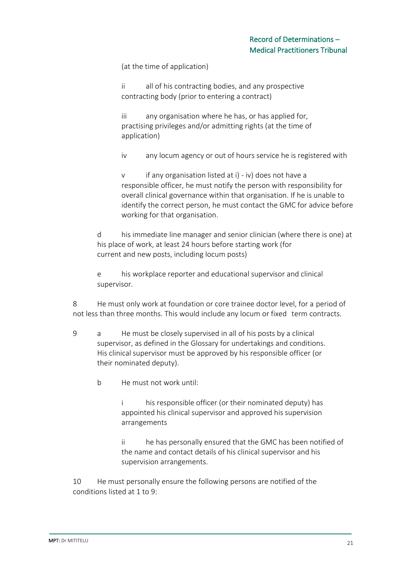(at the time of application)

ii all of his contracting bodies, and any prospective contracting body (prior to entering a contract)

iii any organisation where he has, or has applied for, practising privileges and/or admitting rights (at the time of application)

iv any locum agency or out of hours service he is registered with

v if any organisation listed at i) - iv) does not have a responsible officer, he must notify the person with responsibility for overall clinical governance within that organisation. If he is unable to identify the correct person, he must contact the GMC for advice before working for that organisation.

d his immediate line manager and senior clinician (where there is one) at his place of work, at least 24 hours before starting work (for current and new posts, including locum posts)

e his workplace reporter and educational supervisor and clinical supervisor.

8 He must only work at foundation or core trainee doctor level, for a period of not less than three months. This would include any locum or fixed term contracts.

- 9 a He must be closely supervised in all of his posts by a clinical supervisor, as defined in the Glossary for undertakings and conditions. His clinical supervisor must be approved by his responsible officer (or their nominated deputy).
	- b He must not work until:

i his responsible officer (or their nominated deputy) has appointed his clinical supervisor and approved his supervision arrangements

ii he has personally ensured that the GMC has been notified of the name and contact details of his clinical supervisor and his supervision arrangements.

10 He must personally ensure the following persons are notified of the conditions listed at 1 to 9: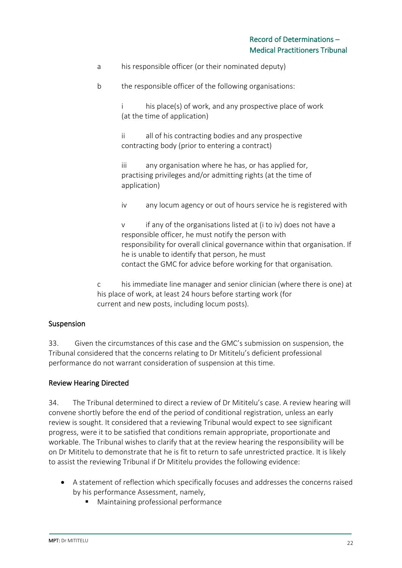- a his responsible officer (or their nominated deputy)
- b the responsible officer of the following organisations:

i his place(s) of work, and any prospective place of work (at the time of application)

ii all of his contracting bodies and any prospective contracting body (prior to entering a contract)

iii any organisation where he has, or has applied for, practising privileges and/or admitting rights (at the time of application)

iv any locum agency or out of hours service he is registered with

v if any of the organisations listed at (i to iv) does not have a responsible officer, he must notify the person with responsibility for overall clinical governance within that organisation. If he is unable to identify that person, he must contact the GMC for advice before working for that organisation.

c his immediate line manager and senior clinician (where there is one) at his place of work, at least 24 hours before starting work (for current and new posts, including locum posts).

## Suspension

33. Given the circumstances of this case and the GMC's submission on suspension, the Tribunal considered that the concerns relating to Dr Mititelu's deficient professional performance do not warrant consideration of suspension at this time.

## Review Hearing Directed

34. The Tribunal determined to direct a review of Dr Mititelu's case. A review hearing will convene shortly before the end of the period of conditional registration, unless an early review is sought. It considered that a reviewing Tribunal would expect to see significant progress, were it to be satisfied that conditions remain appropriate, proportionate and workable. The Tribunal wishes to clarify that at the review hearing the responsibility will be on Dr Mititelu to demonstrate that he is fit to return to safe unrestricted practice. It is likely to assist the reviewing Tribunal if Dr Mititelu provides the following evidence:

- A statement of reflection which specifically focuses and addresses the concerns raised by his performance Assessment, namely,
	- Maintaining professional performance